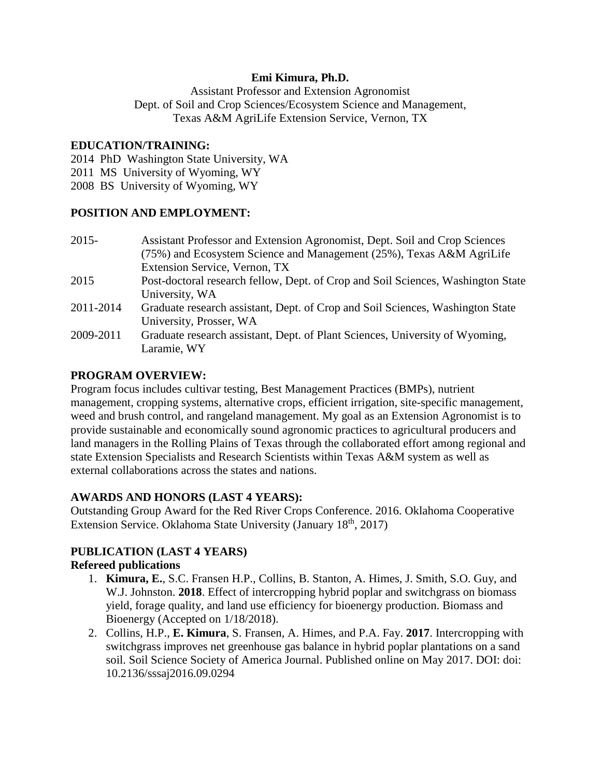## **Emi Kimura, Ph.D.**

Assistant Professor and Extension Agronomist Dept. of Soil and Crop Sciences/Ecosystem Science and Management, Texas A&M AgriLife Extension Service, Vernon, TX

#### **EDUCATION/TRAINING:**

2014 PhD Washington State University, WA

- 2011 MS University of Wyoming, WY
- 2008 BS University of Wyoming, WY

## **POSITION AND EMPLOYMENT:**

| $2015 -$  | Assistant Professor and Extension Agronomist, Dept. Soil and Crop Sciences       |
|-----------|----------------------------------------------------------------------------------|
|           | (75%) and Ecosystem Science and Management (25%), Texas A&M AgriLife             |
|           | Extension Service, Vernon, TX                                                    |
| 2015      | Post-doctoral research fellow, Dept. of Crop and Soil Sciences, Washington State |
|           | University, WA                                                                   |
| 2011-2014 | Graduate research assistant, Dept. of Crop and Soil Sciences, Washington State   |
|           | University, Prosser, WA                                                          |
| 2009-2011 | Graduate research assistant, Dept. of Plant Sciences, University of Wyoming,     |
|           | Laramie, WY                                                                      |

## **PROGRAM OVERVIEW:**

Program focus includes cultivar testing, Best Management Practices (BMPs), nutrient management, cropping systems, alternative crops, efficient irrigation, site-specific management, weed and brush control, and rangeland management. My goal as an Extension Agronomist is to provide sustainable and economically sound agronomic practices to agricultural producers and land managers in the Rolling Plains of Texas through the collaborated effort among regional and state Extension Specialists and Research Scientists within Texas A&M system as well as external collaborations across the states and nations.

## **AWARDS AND HONORS (LAST 4 YEARS):**

Outstanding Group Award for the Red River Crops Conference. 2016. Oklahoma Cooperative Extension Service. Oklahoma State University (January 18<sup>th</sup>, 2017)

# **PUBLICATION (LAST 4 YEARS)**

## **Refereed publications**

- 1. **Kimura, E.**, S.C. Fransen H.P., Collins, B. Stanton, A. Himes, J. Smith, S.O. Guy, and W.J. Johnston. **2018**. Effect of intercropping hybrid poplar and switchgrass on biomass yield, forage quality, and land use efficiency for bioenergy production. Biomass and Bioenergy (Accepted on 1/18/2018).
- 2. Collins, H.P., **E. Kimura**, S. Fransen, A. Himes, and P.A. Fay. **2017**. Intercropping with switchgrass improves net greenhouse gas balance in hybrid poplar plantations on a sand soil. Soil Science Society of America Journal. Published online on May 2017. DOI: doi: 10.2136/sssaj2016.09.0294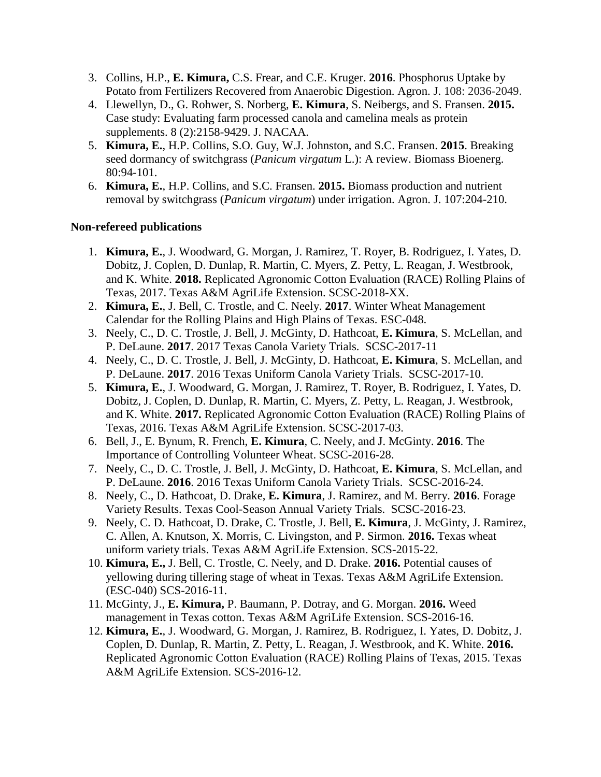- 3. Collins, H.P., **E. Kimura,** C.S. Frear, and C.E. Kruger. **2016**. Phosphorus Uptake by Potato from Fertilizers Recovered from Anaerobic Digestion. Agron. J. 108: 2036-2049.
- 4. Llewellyn, D., G. Rohwer, S. Norberg, **E. Kimura**, S. Neibergs, and S. Fransen. **2015.** Case study: Evaluating farm processed canola and camelina meals as protein supplements. 8 (2):2158-9429. J. NACAA.
- 5. **Kimura, E.**, H.P. Collins, S.O. Guy, W.J. Johnston, and S.C. Fransen. **2015**. Breaking seed dormancy of switchgrass (*Panicum virgatum* L.): A review. Biomass Bioenerg. 80:94-101.
- 6. **Kimura, E.**, H.P. Collins, and S.C. Fransen. **2015.** Biomass production and nutrient removal by switchgrass (*Panicum virgatum*) under irrigation. Agron. J. 107:204-210.

## **Non-refereed publications**

- 1. **Kimura, E.**, J. Woodward, G. Morgan, J. Ramirez, T. Royer, B. Rodriguez, I. Yates, D. Dobitz, J. Coplen, D. Dunlap, R. Martin, C. Myers, Z. Petty, L. Reagan, J. Westbrook, and K. White. **2018.** Replicated Agronomic Cotton Evaluation (RACE) Rolling Plains of Texas, 2017. Texas A&M AgriLife Extension. SCSC-2018-XX.
- 2. **Kimura, E.**, J. Bell, C. Trostle, and C. Neely. **2017**. Winter Wheat Management Calendar for the Rolling Plains and High Plains of Texas. ESC-048.
- 3. Neely, C., D. C. Trostle, J. Bell, J. McGinty, D. Hathcoat, **E. Kimura**, S. McLellan, and P. DeLaune. **2017**. 2017 Texas Canola Variety Trials. SCSC-2017-11
- 4. Neely, C., D. C. Trostle, J. Bell, J. McGinty, D. Hathcoat, **E. Kimura**, S. McLellan, and P. DeLaune. **2017**. 2016 Texas Uniform Canola Variety Trials. SCSC-2017-10.
- 5. **Kimura, E.**, J. Woodward, G. Morgan, J. Ramirez, T. Royer, B. Rodriguez, I. Yates, D. Dobitz, J. Coplen, D. Dunlap, R. Martin, C. Myers, Z. Petty, L. Reagan, J. Westbrook, and K. White. **2017.** Replicated Agronomic Cotton Evaluation (RACE) Rolling Plains of Texas, 2016. Texas A&M AgriLife Extension. SCSC-2017-03.
- 6. Bell, J., E. Bynum, R. French, **E. Kimura**, C. Neely, and J. McGinty. **2016**. The Importance of Controlling Volunteer Wheat. SCSC-2016-28.
- 7. Neely, C., D. C. Trostle, J. Bell, J. McGinty, D. Hathcoat, **E. Kimura**, S. McLellan, and P. DeLaune. **2016**. 2016 Texas Uniform Canola Variety Trials. SCSC-2016-24.
- 8. Neely, C., D. Hathcoat, D. Drake, **E. Kimura**, J. Ramirez, and M. Berry. **2016**. Forage Variety Results. Texas Cool-Season Annual Variety Trials. SCSC-2016-23.
- 9. Neely, C. D. Hathcoat, D. Drake, C. Trostle, J. Bell, **E. Kimura**, J. McGinty, J. Ramirez, C. Allen, A. Knutson, X. Morris, C. Livingston, and P. Sirmon. **2016.** Texas wheat uniform variety trials. Texas A&M AgriLife Extension. SCS-2015-22.
- 10. **Kimura, E.,** J. Bell, C. Trostle, C. Neely, and D. Drake. **2016.** Potential causes of yellowing during tillering stage of wheat in Texas. Texas A&M AgriLife Extension. (ESC-040) SCS-2016-11.
- 11. McGinty, J., **E. Kimura,** P. Baumann, P. Dotray, and G. Morgan. **2016.** Weed management in Texas cotton. Texas A&M AgriLife Extension. SCS-2016-16.
- 12. **Kimura, E.**, J. Woodward, G. Morgan, J. Ramirez, B. Rodriguez, I. Yates, D. Dobitz, J. Coplen, D. Dunlap, R. Martin, Z. Petty, L. Reagan, J. Westbrook, and K. White. **2016.** Replicated Agronomic Cotton Evaluation (RACE) Rolling Plains of Texas, 2015. Texas A&M AgriLife Extension. SCS-2016-12.